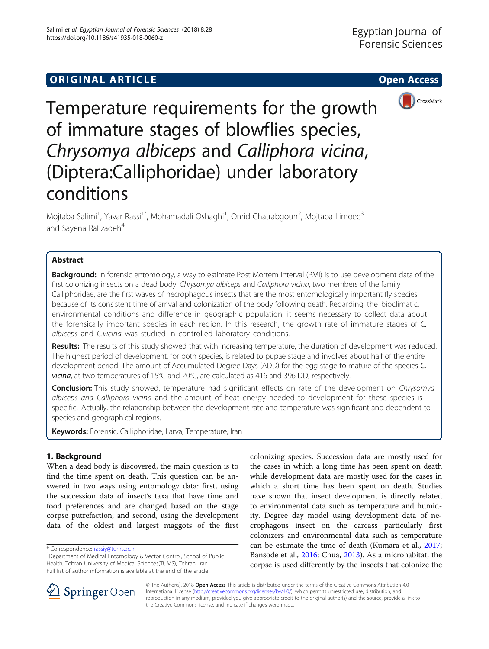# **ORIGINAL ARTICLE CONSERVANCE IN A LOCAL CONSERVANCE IN A LOCAL CONSERVANCE IN A LOCAL CONSERVANCE IN A LOCAL CONS**



Temperature requirements for the growth of immature stages of blowflies species, Chrysomya albiceps and Calliphora vicina, (Diptera:Calliphoridae) under laboratory conditions

Mojtaba Salimi<sup>1</sup>, Yavar Rassi<sup>1\*</sup>, Mohamadali Oshaghi<sup>1</sup>, Omid Chatrabgoun<sup>2</sup>, Mojtaba Limoee<sup>3</sup> and Sayena Rafizadeh<sup>4</sup>

# Abstract

Background: In forensic entomology, a way to estimate Post Mortem Interval (PMI) is to use development data of the first colonizing insects on a dead body. Chrysomya albiceps and Calliphora vicina, two members of the family Calliphoridae, are the first waves of necrophagous insects that are the most entomologically important fly species because of its consistent time of arrival and colonization of the body following death. Regarding the bioclimatic, environmental conditions and difference in geographic population, it seems necessary to collect data about the forensically important species in each region. In this research, the growth rate of immature stages of C. albiceps and C.vicina was studied in controlled laboratory conditions.

Results: The results of this study showed that with increasing temperature, the duration of development was reduced. The highest period of development, for both species, is related to pupae stage and involves about half of the entire development period. The amount of Accumulated Degree Days (ADD) for the egg stage to mature of the species C. vicina, at two temperatures of 15°C and 20°C, are calculated as 416 and 396 DD, respectively.

**Conclusion:** This study showed, temperature had significant effects on rate of the development on Chrysomya albiceps and Calliphora vicina and the amount of heat energy needed to development for these species is specific. Actually, the relationship between the development rate and temperature was significant and dependent to species and geographical regions.

Keywords: Forensic, Calliphoridae, Larva, Temperature, Iran

# 1. Background

When a dead body is discovered, the main question is to find the time spent on death. This question can be answered in two ways using entomology data: first, using the succession data of insect's taxa that have time and food preferences and are changed based on the stage corpse putrefaction; and second, using the development data of the oldest and largest maggots of the first

colonizing species. Succession data are mostly used for the cases in which a long time has been spent on death while development data are mostly used for the cases in which a short time has been spent on death. Studies have shown that insect development is directly related to environmental data such as temperature and humidity. Degree day model using development data of necrophagous insect on the carcass particularly first colonizers and environmental data such as temperature can be estimate the time of death (Kumara et al., [2017](#page-5-0); Bansode et al., [2016;](#page-5-0) Chua, [2013\)](#page-5-0). As a microhabitat, the corpse is used differently by the insects that colonize the



© The Author(s). 2018 Open Access This article is distributed under the terms of the Creative Commons Attribution 4.0 International License ([http://creativecommons.org/licenses/by/4.0/\)](http://creativecommons.org/licenses/by/4.0/), which permits unrestricted use, distribution, and reproduction in any medium, provided you give appropriate credit to the original author(s) and the source, provide a link to the Creative Commons license, and indicate if changes were made.

<sup>\*</sup> Correspondence: [rassiy@tums.ac.ir](mailto:rassiy@tums.ac.ir) <sup>1</sup>

<sup>&</sup>lt;sup>1</sup>Department of Medical Entomology & Vector Control, School of Public Health, Tehran University of Medical Sciences(TUMS), Tehran, Iran Full list of author information is available at the end of the article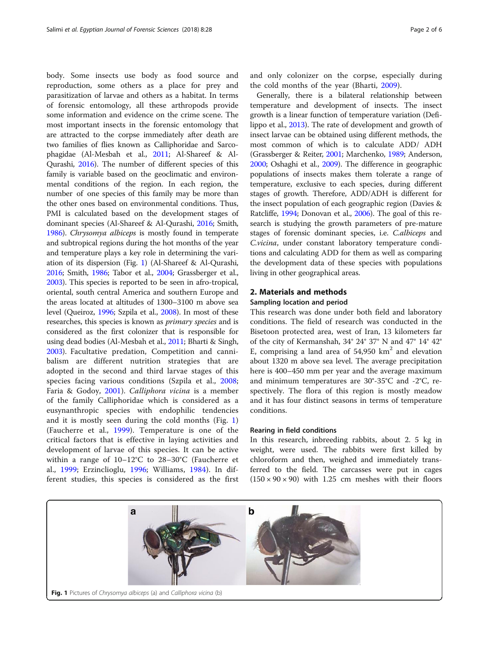body. Some insects use body as food source and reproduction, some others as a place for prey and parasitization of larvae and others as a habitat. In terms of forensic entomology, all these arthropods provide some information and evidence on the crime scene. The most important insects in the forensic entomology that are attracted to the corpse immediately after death are two families of flies known as Calliphoridae and Sarcophagidae (Al-Mesbah et al., [2011](#page-5-0); Al-Shareef & Al-Qurashi, [2016\)](#page-5-0). The number of different species of this family is variable based on the geoclimatic and environmental conditions of the region. In each region, the number of one species of this family may be more than the other ones based on environmental conditions. Thus, PMI is calculated based on the development stages of dominant species (Al-Shareef & Al-Qurashi, [2016](#page-5-0); Smith, [1986\)](#page-5-0). Chrysomya albiceps is mostly found in temperate and subtropical regions during the hot months of the year and temperature plays a key role in determining the variation of its dispersion (Fig. 1) (Al-Shareef & Al-Qurashi, [2016;](#page-5-0) Smith, [1986](#page-5-0); Tabor et al., [2004](#page-5-0); Grassberger et al., [2003\)](#page-5-0). This species is reported to be seen in afro-tropical, oriental, south central America and southern Europe and the areas located at altitudes of 1300–3100 m above sea level (Queiroz, [1996;](#page-5-0) Szpila et al., [2008](#page-5-0)). In most of these researches, this species is known as primary species and is considered as the first colonizer that is responsible for using dead bodies (Al-Mesbah et al., [2011](#page-5-0); Bharti & Singh, [2003\)](#page-5-0). Facultative predation, Competition and cannibalism are different nutrition strategies that are adopted in the second and third larvae stages of this species facing various conditions (Szpila et al., [2008](#page-5-0); Faria & Godoy, [2001\)](#page-5-0). Calliphora vicina is a member of the family Calliphoridae which is considered as a eusynanthropic species with endophilic tendencies and it is mostly seen during the cold months (Fig. 1) (Faucherre et al., [1999](#page-5-0)). Temperature is one of the critical factors that is effective in laying activities and development of larvae of this species. It can be active within a range of 10–12°C to 28–30°C (Faucherre et al., [1999;](#page-5-0) Erzinclioglu, [1996](#page-5-0); Williams, [1984](#page-5-0)). In different studies, this species is considered as the first

and only colonizer on the corpse, especially during the cold months of the year (Bharti, [2009](#page-5-0)).

Generally, there is a bilateral relationship between temperature and development of insects. The insect growth is a linear function of temperature variation (Defilippo et al., [2013](#page-5-0)). The rate of development and growth of insect larvae can be obtained using different methods, the most common of which is to calculate ADD/ ADH (Grassberger & Reiter, [2001](#page-5-0); Marchenko, [1989;](#page-5-0) Anderson, [2000;](#page-5-0) Oshaghi et al., [2009\)](#page-5-0). The difference in geographic populations of insects makes them tolerate a range of temperature, exclusive to each species, during different stages of growth. Therefore, ADD/ADH is different for the insect population of each geographic region (Davies & Ratcliffe, [1994;](#page-5-0) Donovan et al., [2006](#page-5-0)). The goal of this research is studying the growth parameters of pre-mature stages of forensic dominant species, i.e. C.albiceps and C.vicina, under constant laboratory temperature conditions and calculating ADD for them as well as comparing the development data of these species with populations living in other geographical areas.

# 2. Materials and methods

### Sampling location and period

This research was done under both field and laboratory conditions. The field of research was conducted in the Bisetoon protected area, west of Iran, 13 kilometers far of the city of Kermanshah, 34° 24° 37° N and 47° 14° 42° E, comprising a land area of  $54,950$  km<sup>2</sup> and elevation about 1320 m above sea level. The average precipitation here is 400–450 mm per year and the average maximum and minimum temperatures are 30°-35°C and -2°C, respectively. The flora of this region is mostly meadow and it has four distinct seasons in terms of temperature conditions.

### Rearing in field conditions

In this research, inbreeding rabbits, about 2. 5 kg in weight, were used. The rabbits were first killed by chloroform and then, weighed and immediately transferred to the field. The carcasses were put in cages  $(150 \times 90 \times 90)$  with 1.25 cm meshes with their floors

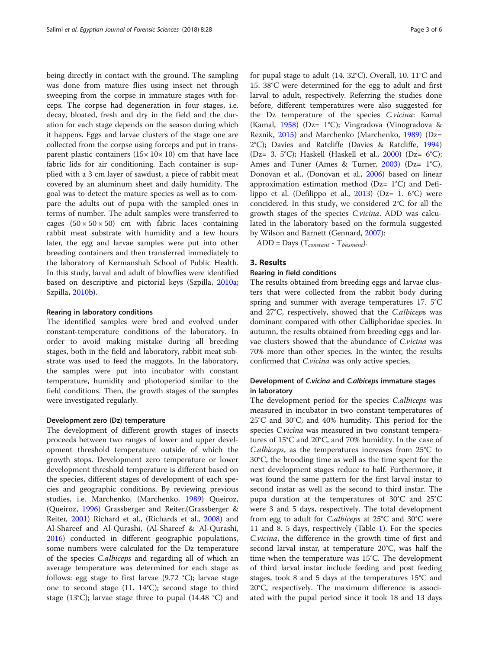being directly in contact with the ground. The sampling was done from mature flies using insect net through sweeping from the corpse in immature stages with forceps. The corpse had degeneration in four stages, i.e. decay, bloated, fresh and dry in the field and the duration for each stage depends on the season during which it happens. Eggs and larvae clusters of the stage one are collected from the corpse using forceps and put in transparent plastic containers  $(15 \times 10 \times 10)$  cm that have lace fabric lids for air conditioning. Each container is supplied with a 3 cm layer of sawdust, a piece of rabbit meat covered by an aluminum sheet and daily humidity. The goal was to detect the mature species as well as to compare the adults out of pupa with the sampled ones in terms of number. The adult samples were transferred to cages  $(50 \times 50 \times 50)$  cm with fabric laces containing rabbit meat substrate with humidity and a few hours later, the egg and larvae samples were put into other breeding containers and then transferred immediately to the laboratory of Kermanshah School of Public Health. In this study, larval and adult of blowflies were identified based on descriptive and pictorial keys (Szpilla, [2010a](#page-5-0); Szpilla, [2010b](#page-5-0)).

### Rearing in laboratory conditions

The identified samples were bred and evolved under constant-temperature conditions of the laboratory. In order to avoid making mistake during all breeding stages, both in the field and laboratory, rabbit meat substrate was used to feed the maggots. In the laboratory, the samples were put into incubator with constant temperature, humidity and photoperiod similar to the field conditions. Then, the growth stages of the samples were investigated regularly.

# Development zero (Dz) temperature

The development of different growth stages of insects proceeds between two ranges of lower and upper development threshold temperature outside of which the growth stops. Development zero temperature or lower development threshold temperature is different based on the species, different stages of development of each species and geographic conditions. By reviewing previous studies, i.e. Marchenko, (Marchenko, [1989](#page-5-0)) Queiroz, (Queiroz, [1996\)](#page-5-0) Grassberger and Reiter,(Grassberger & Reiter, [2001](#page-5-0)) Richard et al., (Richards et al., [2008\)](#page-5-0) and Al-Shareef and Al-Qurashi, (Al-Shareef & Al-Qurashi, [2016](#page-5-0)) conducted in different geographic populations, some numbers were calculated for the Dz temperature of the species C.albiceps and regarding all of which an average temperature was determined for each stage as follows: egg stage to first larvae (9.72 °C); larvae stage one to second stage (11. 14°C); second stage to third stage (13°C); larvae stage three to pupal (14.48 °C) and for pupal stage to adult (14. 32°C). Overall, 10. 11°C and 15. 38°C were determined for the egg to adult and first larval to adult, respectively. Referring the studies done before, different temperatures were also suggested for the Dz temperature of the species C.vicina: Kamal (Kamal, [1958\)](#page-5-0) (Dz= 1°C); Vingradova (Vinogradova & Reznik, [2015](#page-5-0)) and Marchenko (Marchenko, [1989](#page-5-0)) (Dz= 2°C); Davies and Ratcliffe (Davies & Ratcliffe, [1994](#page-5-0)) (Dz= 3. 5°C); Haskell (Haskell et al., [2000](#page-5-0)) (Dz= 6°C); Ames and Tuner (Ames & Turner, [2003\)](#page-5-0) (Dz= 1°C), Donovan et al., (Donovan et al., [2006\)](#page-5-0) based on linear approximation estimation method (Dz= 1°C) and Defilippo et al. (Defilippo et al.,  $2013$ ) (Dz= 1. 6°C) were concidered. In this study, we considered 2°C for all the growth stages of the species C.vicina. ADD was calculated in the laboratory based on the formula suggested by Wilson and Barnett (Gennard, [2007](#page-5-0)):

 $ADD = Days (T_{constant} - T_{basment}).$ 

# 3. Results

# Rearing in field conditions

The results obtained from breeding eggs and larvae clusters that were collected from the rabbit body during spring and summer with average temperatures 17. 5°C and 27°C, respectively, showed that the C.albiceps was dominant compared with other Calliphoridae species. In autumn, the results obtained from breeding eggs and larvae clusters showed that the abundance of C.vicina was 70% more than other species. In the winter, the results confirmed that *C.vicina* was only active species.

# Development of C.vicina and C.albiceps immature stages in laboratory

The development period for the species *C.albiceps* was measured in incubator in two constant temperatures of 25°C and 30°C, and 40% humidity. This period for the species C.vicina was measured in two constant temperatures of 15°C and 20°C, and 70% humidity. In the case of C.albiceps, as the temperatures increases from 25°C to 30°C, the brooding time as well as the time spent for the next development stages reduce to half. Furthermore, it was found the same pattern for the first larval instar to second instar as well as the second to third instar. The pupa duration at the temperatures of 30°C and 25°C were 3 and 5 days, respectively. The total development from egg to adult for C.albiceps at 25°C and 30°C were 11 and 8. 5 days, respectively (Table [1](#page-3-0)). For the species C.*vicina*, the difference in the growth time of first and second larval instar, at temperature 20°C, was half the time when the temperature was 15°C. The development of third larval instar include feeding and post feeding stages, took 8 and 5 days at the temperatures 15°C and 20°C, respectively. The maximum difference is associated with the pupal period since it took 18 and 13 days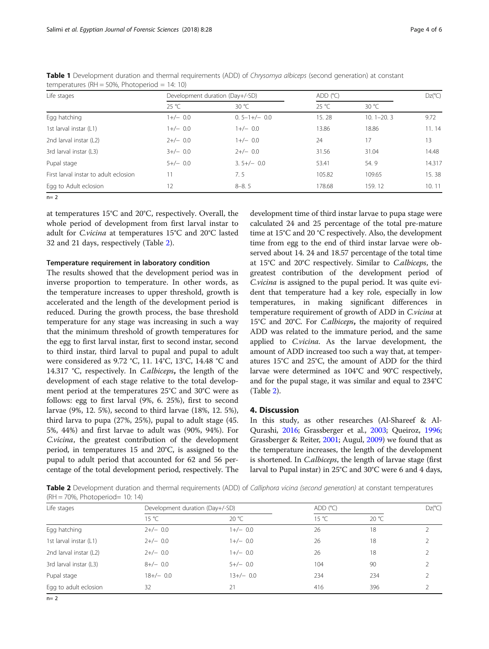| Life stages                           | Development duration (Day+/-SD) |                | ADD (°C)       |               | $Dz(^{\circ}C)$ |
|---------------------------------------|---------------------------------|----------------|----------------|---------------|-----------------|
|                                       | 25 °C                           | 30 °C          | $25^{\circ}$ C | 30 °C         |                 |
| Egg hatching                          | $1+/-$ 0.0                      | $0.5-1+/-$ 0.0 | 15.28          | $10.1 - 20.3$ | 9.72            |
| 1st larval instar (L1)                | $1+/-$ 0.0                      | $1+/-$ 0.0     | 13.86          | 18.86         | 11.14           |
| 2nd larval instar (L2)                | $2+/-$ 0.0                      | $1+/-$ 0.0     | 24             | 17            | 13              |
| 3rd larval instar (L3)                | $3+/-$ 0.0                      | $2+/-$ 0.0     | 31.56          | 31.04         | 14.48           |
| Pupal stage                           | $5+/-$ 0.0                      | $3.5+/-$ 0.0   | 53.41          | 54.9          | 14.317          |
| First larval instar to adult eclosion |                                 | 7.5            | 105.82         | 109.65        | 15.38           |
| Egg to Adult eclosion                 | 12                              | $8 - 8.5$      | 178.68         | 159.12        | 10.11           |

<span id="page-3-0"></span>Table 1 Development duration and thermal requirements (ADD) of Chrysomya albiceps (second generation) at constant temperatures ( $RH = 50\%$ , Photoperiod = 14: 10)

 $n= 2$ 

at temperatures 15°C and 20°C, respectively. Overall, the whole period of development from first larval instar to adult for C.vicina at temperatures 15°C and 20°C lasted 32 and 21 days, respectively (Table 2).

### Temperature requirement in laboratory condition

The results showed that the development period was in inverse proportion to temperature. In other words, as the temperature increases to upper threshold, growth is accelerated and the length of the development period is reduced. During the growth process, the base threshold temperature for any stage was increasing in such a way that the minimum threshold of growth temperatures for the egg to first larval instar, first to second instar, second to third instar, third larval to pupal and pupal to adult were considered as 9.72 °C, 11. 14°C, 13°C, 14.48 °C and 14.317 °C, respectively. In C.albiceps, the length of the development of each stage relative to the total development period at the temperatures 25°C and 30°C were as follows: egg to first larval (9%, 6. 25%), first to second larvae (9%, 12. 5%), second to third larvae (18%, 12. 5%), third larva to pupa (27%, 25%), pupal to adult stage (45. 5%, 44%) and first larvae to adult was (90%, 94%). For C.vicina, the greatest contribution of the development period, in temperatures 15 and 20°C, is assigned to the pupal to adult period that accounted for 62 and 56 percentage of the total development period, respectively. The

development time of third instar larvae to pupa stage were calculated 24 and 25 percentage of the total pre-mature time at 15°C and 20 °C respectively. Also, the development time from egg to the end of third instar larvae were observed about 14. 24 and 18.57 percentage of the total time at 15°C and 20°C respectively. Similar to C.albiceps, the greatest contribution of the development period of C.vicina is assigned to the pupal period. It was quite evident that temperature had a key role, especially in low temperatures, in making significant differences in temperature requirement of growth of ADD in C.vicina at 15°C and 20°C. For C.albiceps, the majority of required ADD was related to the immature period, and the same applied to C.vicina. As the larvae development, the amount of ADD increased too such a way that, at temperatures 15°C and 25°C, the amount of ADD for the third larvae were determined as 104°C and 90°C respectively, and for the pupal stage, it was similar and equal to 234°C (Table 2).

# 4. Discussion

In this study, as other researches (Al-Shareef & Al-Qurashi, [2016](#page-5-0); Grassberger et al., [2003;](#page-5-0) Queiroz, [1996](#page-5-0); Grassberger & Reiter, [2001](#page-5-0); Augul, [2009\)](#page-5-0) we found that as the temperature increases, the length of the development is shortened. In C.albiceps, the length of larvae stage (first larval to Pupal instar) in 25°C and 30°C were 6 and 4 days,

Table 2 Development duration and thermal requirements (ADD) of Calliphora vicina (second generation) at constant temperatures (RH = 70%, Photoperiod= 10: 14)

| Life stages            | Development duration (Day+/-SD) |             | ADD (°C)       |       | $Dz(^{\circ}C)$ |
|------------------------|---------------------------------|-------------|----------------|-------|-----------------|
|                        | $15^{\circ}$ C                  | 20 °C       | $15^{\circ}$ C | 20 °C |                 |
| Egg hatching           | $2+/-$ 0.0                      | $1+/-$ 0.0  | 26             | 18    | 2               |
| 1st larval instar (L1) | $2+/-$ 0.0                      | $1+/-$ 0.0  | 26             | 18    |                 |
| 2nd larval instar (L2) | $2+/-$ 0.0                      | $1+/-$ 0.0  | 26             | 18    |                 |
| 3rd larval instar (L3) | $8+/-$ 0.0                      | $5+/-$ 0.0  | 104            | 90    |                 |
| Pupal stage            | $18+/-$ 0.0                     | $13+/-$ 0.0 | 234            | 234   |                 |
| Egg to adult eclosion  | 32                              | 21          | 416            | 396   |                 |

 $n= 2$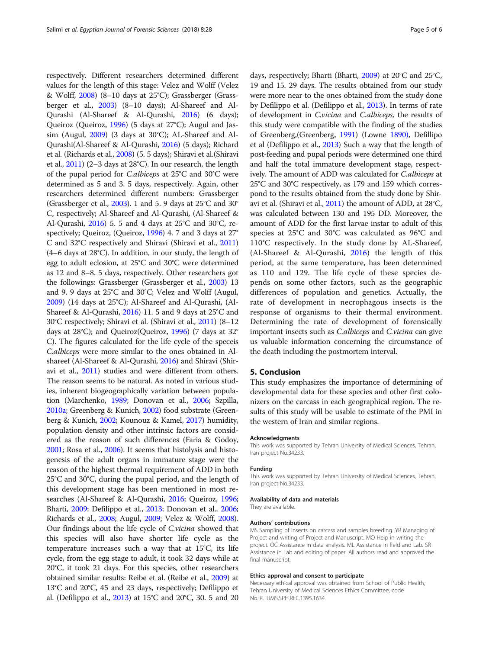respectively. Different researchers determined different values for the length of this stage: Velez and Wolff (Velez & Wolff, [2008](#page-5-0)) (8–10 days at 25°C); Grassberger (Grassberger et al., [2003](#page-5-0)) (8–10 days); Al-Shareef and Al-Qurashi (Al-Shareef & Al-Qurashi, [2016](#page-5-0)) (6 days); Queiroz (Queiroz, [1996\)](#page-5-0) (5 days at 27°C); Augul and Jassim (Augul, [2009](#page-5-0)) (3 days at 30°C); AL-Shareef and Al-Qurashi(Al-Shareef & Al-Qurashi, [2016\)](#page-5-0) (5 days); Richard et al. (Richards et al., [2008\)](#page-5-0) (5. 5 days); Shiravi et al.(Shiravi et al., [2011\)](#page-5-0) (2–3 days at 28°C). In our research, the length of the pupal period for C.albiceps at 25°C and 30°C were determined as 5 and 3. 5 days, respectively. Again, other researchers determined different numbers: Grassberger (Grassberger et al., [2003\)](#page-5-0). 1 and 5. 9 days at  $25^{\circ}$ C and  $30^{\circ}$ C, respectively; Al-Shareef and Al-Qurashi, (Al-Shareef & Al-Qurashi, [2016\)](#page-5-0) 5. 5 and 4 days at 25°C and 30°C, re-spectively; Queiroz, (Queiroz, [1996\)](#page-5-0) 4. 7 and 3 days at 27° C and 32°C respectively and Shiravi (Shiravi et al., [2011](#page-5-0)) (4–6 days at 28°C). In addition, in our study, the length of egg to adult eclosion, at 25°C and 30°C were determined as 12 and 8–8. 5 days, respectively. Other researchers got the followings: Grassberger (Grassberger et al., [2003\)](#page-5-0) 13 and 9. 9 days at 25°C and 30°C; Velez and Wolff (Augul, [2009\)](#page-5-0) (14 days at 25°C); Al-Shareef and Al-Qurashi, (Al-Shareef & Al-Qurashi, [2016\)](#page-5-0) 11. 5 and 9 days at 25°C and 30°C respectively; Shiravi et al. (Shiravi et al., [2011\)](#page-5-0) (8–12 days at 28°C); and Queiroz(Queiroz, [1996\)](#page-5-0) (7 days at 32° C). The figures calculated for the life cycle of the speceis C.albiceps were more similar to the ones obtained in Alshareef (Al-Shareef & Al-Qurashi, [2016](#page-5-0)) and Shiravi (Shiravi et al., [2011\)](#page-5-0) studies and were different from others. The reason seems to be natural. As noted in various studies, inherent biogeographically variation between population (Marchenko, [1989;](#page-5-0) Donovan et al., [2006](#page-5-0); Szpilla, [2010a](#page-5-0); Greenberg & Kunich, [2002](#page-5-0)) food substrate (Greenberg & Kunich, [2002](#page-5-0); Kounouz & Kamel, [2017](#page-5-0)) humidity, population density and other intrinsic factors are considered as the reason of such differences (Faria & Godoy, [2001;](#page-5-0) Rosa et al., [2006\)](#page-5-0). It seems that histolysis and histogenesis of the adult organs in immature stage were the reason of the highest thermal requirement of ADD in both 25°C and 30°C, during the pupal period, and the length of this development stage has been mentioned in most researches (Al-Shareef & Al-Qurashi, [2016](#page-5-0); Queiroz, [1996](#page-5-0); Bharti, [2009](#page-5-0); Defilippo et al., [2013](#page-5-0); Donovan et al., [2006](#page-5-0); Richards et al., [2008](#page-5-0); Augul, [2009](#page-5-0); Velez & Wolff, [2008](#page-5-0)). Our findings about the life cycle of C.vicina showed that this species will also have shorter life cycle as the temperature increases such a way that at 15°C, its life cycle, from the egg stage to adult, it took 32 days while at 20°C, it took 21 days. For this species, other researchers obtained similar results: Reibe et al. (Reibe et al., [2009\)](#page-5-0) at 13°C and 20°C, 45 and 23 days, respectively; Defilippo et al. (Defilippo et al., [2013\)](#page-5-0) at 15°C and 20°C, 30. 5 and 20

days, respectively; Bharti (Bharti, [2009\)](#page-5-0) at 20°C and 25°C, 19 and 15. 29 days. The results obtained from our study were more near to the ones obtained from the study done by Defilippo et al. (Defilippo et al., [2013](#page-5-0)). In terms of rate of development in C.vicina and C.albiceps, the results of this study were compatible with the finding of the studies of Greenberg,(Greenberg, [1991](#page-5-0)) (Lowne [1890\),](#page-5-0) Defillipo et al (Defilippo et al., [2013](#page-5-0)) Such a way that the length of post-feeding and pupal periods were determined one third and half the total immature development stage, respectively. The amount of ADD was calculated for C.albiceps at 25°C and 30°C respectively, as 179 and 159 which correspond to the results obtained from the study done by Shiravi et al. (Shiravi et al., [2011](#page-5-0)) the amount of ADD, at 28°C, was calculated between 130 and 195 DD. Moreover, the amount of ADD for the first larvae instar to adult of this species at 25°C and 30°C was calculated as 96°C and 110°C respectively. In the study done by AL-Shareef, (Al-Shareef & Al-Qurashi, [2016](#page-5-0)) the length of this period, at the same temperature, has been determined as 110 and 129. The life cycle of these species depends on some other factors, such as the geographic differences of population and genetics. Actually, the rate of development in necrophagous insects is the response of organisms to their thermal environment. Determining the rate of development of forensically important insects such as C.albiceps and C.vicina can give us valuable information concerning the circumstance of the death including the postmortem interval.

# 5. Conclusion

This study emphasizes the importance of determining of developmental data for these species and other first colonizers on the carcass in each geographical region. The results of this study will be usable to estimate of the PMI in the western of Iran and similar regions.

#### Acknowledgments

This work was supported by Tehran University of Medical Sciences, Tehran, Iran project No.34233.

### Funding

This work was supported by Tehran University of Medical Sciences, Tehran, Iran project No.34233.

#### Availability of data and materials

They are available.

#### Authors' contributions

MS Sampling of insects on carcass and samples breeding. YR Managing of Project and writing of Project and Manuscript. MO Help in writing the project. OC Assistance in data analysis. ML Assistance in field and Lab. SR Assistance in Lab and editing of paper. All authors read and approved the final manuscript.

#### Ethics approval and consent to participate

Necessary ethical approval was obtained from School of Public Health, Tehran University of Medical Sciences Ethics Committee, code No.IR.TUMS.SPH.REC.1395.1634.